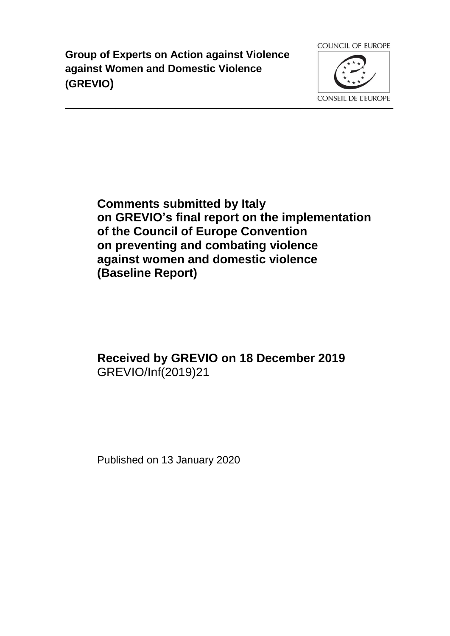**Group of Experts on Action against Violence against Women and Domestic Violence (GREVIO)**



**Comments submitted by Italy on GREVIO's final report on the implementation of the Council of Europe Convention on preventing and combating violence against women and domestic violence (Baseline Report)**

# **Received by GREVIO on 18 December 2019** GREVIO/Inf(2019)21

Published on 13 January 2020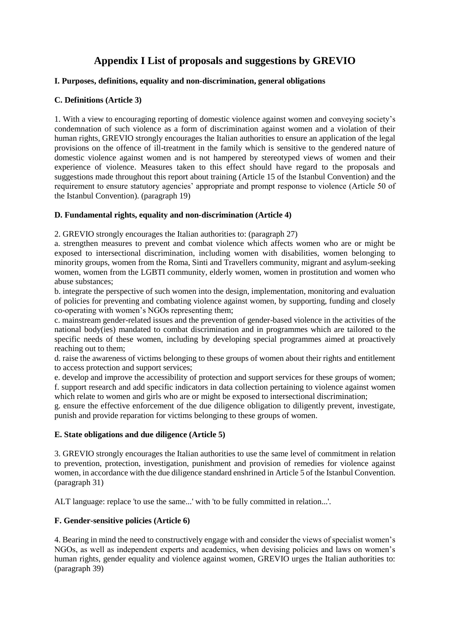# **Appendix I List of proposals and suggestions by GREVIO**

# **I. Purposes, definitions, equality and non-discrimination, general obligations**

# **C. Definitions (Article 3)**

1. With a view to encouraging reporting of domestic violence against women and conveying society's condemnation of such violence as a form of discrimination against women and a violation of their human rights, GREVIO strongly encourages the Italian authorities to ensure an application of the legal provisions on the offence of ill-treatment in the family which is sensitive to the gendered nature of domestic violence against women and is not hampered by stereotyped views of women and their experience of violence. Measures taken to this effect should have regard to the proposals and suggestions made throughout this report about training (Article 15 of the Istanbul Convention) and the requirement to ensure statutory agencies' appropriate and prompt response to violence (Article 50 of the Istanbul Convention). (paragraph 19)

# **D. Fundamental rights, equality and non-discrimination (Article 4)**

2. GREVIO strongly encourages the Italian authorities to: (paragraph 27)

a. strengthen measures to prevent and combat violence which affects women who are or might be exposed to intersectional discrimination, including women with disabilities, women belonging to minority groups, women from the Roma, Sinti and Travellers community, migrant and asylum-seeking women, women from the LGBTI community, elderly women, women in prostitution and women who abuse substances;

b. integrate the perspective of such women into the design, implementation, monitoring and evaluation of policies for preventing and combating violence against women, by supporting, funding and closely co-operating with women's NGOs representing them;

c. mainstream gender-related issues and the prevention of gender-based violence in the activities of the national body(ies) mandated to combat discrimination and in programmes which are tailored to the specific needs of these women, including by developing special programmes aimed at proactively reaching out to them;

d. raise the awareness of victims belonging to these groups of women about their rights and entitlement to access protection and support services;

e. develop and improve the accessibility of protection and support services for these groups of women; f. support research and add specific indicators in data collection pertaining to violence against women which relate to women and girls who are or might be exposed to intersectional discrimination;

g. ensure the effective enforcement of the due diligence obligation to diligently prevent, investigate, punish and provide reparation for victims belonging to these groups of women.

#### **E. State obligations and due diligence (Article 5)**

3. GREVIO strongly encourages the Italian authorities to use the same level of commitment in relation to prevention, protection, investigation, punishment and provision of remedies for violence against women, in accordance with the due diligence standard enshrined in Article 5 of the Istanbul Convention. (paragraph 31)

ALT language: replace 'to use the same...' with 'to be fully committed in relation...'.

# **F. Gender-sensitive policies (Article 6)**

4. Bearing in mind the need to constructively engage with and consider the views of specialist women's NGOs, as well as independent experts and academics, when devising policies and laws on women's human rights, gender equality and violence against women, GREVIO urges the Italian authorities to: (paragraph 39)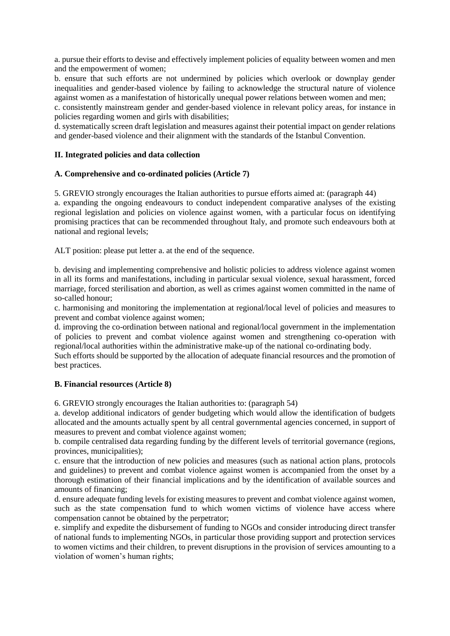a. pursue their efforts to devise and effectively implement policies of equality between women and men and the empowerment of women;

b. ensure that such efforts are not undermined by policies which overlook or downplay gender inequalities and gender-based violence by failing to acknowledge the structural nature of violence against women as a manifestation of historically unequal power relations between women and men;

c. consistently mainstream gender and gender-based violence in relevant policy areas, for instance in policies regarding women and girls with disabilities;

d. systematically screen draft legislation and measures against their potential impact on gender relations and gender-based violence and their alignment with the standards of the Istanbul Convention.

#### **II. Integrated policies and data collection**

# **A. Comprehensive and co-ordinated policies (Article 7)**

5. GREVIO strongly encourages the Italian authorities to pursue efforts aimed at: (paragraph 44) a. expanding the ongoing endeavours to conduct independent comparative analyses of the existing regional legislation and policies on violence against women, with a particular focus on identifying promising practices that can be recommended throughout Italy, and promote such endeavours both at national and regional levels;

ALT position: please put letter a. at the end of the sequence.

b. devising and implementing comprehensive and holistic policies to address violence against women in all its forms and manifestations, including in particular sexual violence, sexual harassment, forced marriage, forced sterilisation and abortion, as well as crimes against women committed in the name of so-called honour;

c. harmonising and monitoring the implementation at regional/local level of policies and measures to prevent and combat violence against women;

d. improving the co-ordination between national and regional/local government in the implementation of policies to prevent and combat violence against women and strengthening co-operation with regional/local authorities within the administrative make-up of the national co-ordinating body.

Such efforts should be supported by the allocation of adequate financial resources and the promotion of best practices.

#### **B. Financial resources (Article 8)**

6. GREVIO strongly encourages the Italian authorities to: (paragraph 54)

a. develop additional indicators of gender budgeting which would allow the identification of budgets allocated and the amounts actually spent by all central governmental agencies concerned, in support of measures to prevent and combat violence against women;

b. compile centralised data regarding funding by the different levels of territorial governance (regions, provinces, municipalities);

c. ensure that the introduction of new policies and measures (such as national action plans, protocols and guidelines) to prevent and combat violence against women is accompanied from the onset by a thorough estimation of their financial implications and by the identification of available sources and amounts of financing;

d. ensure adequate funding levels for existing measures to prevent and combat violence against women, such as the state compensation fund to which women victims of violence have access where compensation cannot be obtained by the perpetrator;

e. simplify and expedite the disbursement of funding to NGOs and consider introducing direct transfer of national funds to implementing NGOs, in particular those providing support and protection services to women victims and their children, to prevent disruptions in the provision of services amounting to a violation of women's human rights;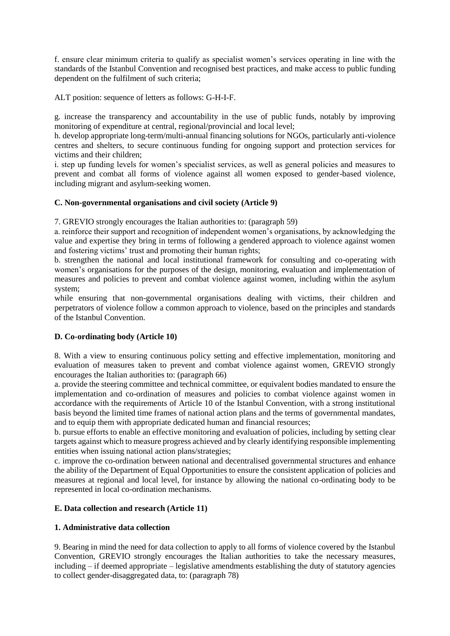f. ensure clear minimum criteria to qualify as specialist women's services operating in line with the standards of the Istanbul Convention and recognised best practices, and make access to public funding dependent on the fulfilment of such criteria;

ALT position: sequence of letters as follows: G-H-I-F.

g. increase the transparency and accountability in the use of public funds, notably by improving monitoring of expenditure at central, regional/provincial and local level;

h. develop appropriate long-term/multi-annual financing solutions for NGOs, particularly anti-violence centres and shelters, to secure continuous funding for ongoing support and protection services for victims and their children;

i. step up funding levels for women's specialist services, as well as general policies and measures to prevent and combat all forms of violence against all women exposed to gender-based violence, including migrant and asylum-seeking women.

# **C. Non-governmental organisations and civil society (Article 9)**

7. GREVIO strongly encourages the Italian authorities to: (paragraph 59)

a. reinforce their support and recognition of independent women's organisations, by acknowledging the value and expertise they bring in terms of following a gendered approach to violence against women and fostering victims' trust and promoting their human rights;

b. strengthen the national and local institutional framework for consulting and co-operating with women's organisations for the purposes of the design, monitoring, evaluation and implementation of measures and policies to prevent and combat violence against women, including within the asylum system;

while ensuring that non-governmental organisations dealing with victims, their children and perpetrators of violence follow a common approach to violence, based on the principles and standards of the Istanbul Convention.

#### **D. Co-ordinating body (Article 10)**

8. With a view to ensuring continuous policy setting and effective implementation, monitoring and evaluation of measures taken to prevent and combat violence against women, GREVIO strongly encourages the Italian authorities to: (paragraph 66)

a. provide the steering committee and technical committee, or equivalent bodies mandated to ensure the implementation and co-ordination of measures and policies to combat violence against women in accordance with the requirements of Article 10 of the Istanbul Convention, with a strong institutional basis beyond the limited time frames of national action plans and the terms of governmental mandates, and to equip them with appropriate dedicated human and financial resources;

b. pursue efforts to enable an effective monitoring and evaluation of policies, including by setting clear targets against which to measure progress achieved and by clearly identifying responsible implementing entities when issuing national action plans/strategies;

c. improve the co-ordination between national and decentralised governmental structures and enhance the ability of the Department of Equal Opportunities to ensure the consistent application of policies and measures at regional and local level, for instance by allowing the national co-ordinating body to be represented in local co-ordination mechanisms.

#### **E. Data collection and research (Article 11)**

#### **1. Administrative data collection**

9. Bearing in mind the need for data collection to apply to all forms of violence covered by the Istanbul Convention, GREVIO strongly encourages the Italian authorities to take the necessary measures, including – if deemed appropriate – legislative amendments establishing the duty of statutory agencies to collect gender-disaggregated data, to: (paragraph 78)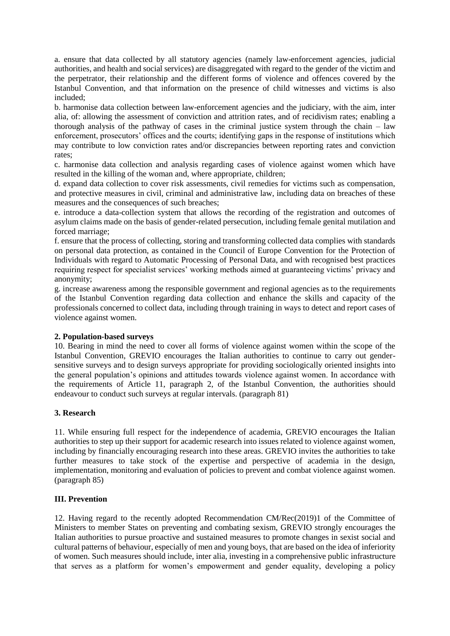a. ensure that data collected by all statutory agencies (namely law-enforcement agencies, judicial authorities, and health and social services) are disaggregated with regard to the gender of the victim and the perpetrator, their relationship and the different forms of violence and offences covered by the Istanbul Convention, and that information on the presence of child witnesses and victims is also included;

b. harmonise data collection between law-enforcement agencies and the judiciary, with the aim, inter alia, of: allowing the assessment of conviction and attrition rates, and of recidivism rates; enabling a thorough analysis of the pathway of cases in the criminal justice system through the chain  $-$  law enforcement, prosecutors' offices and the courts; identifying gaps in the response of institutions which may contribute to low conviction rates and/or discrepancies between reporting rates and conviction rates;

c. harmonise data collection and analysis regarding cases of violence against women which have resulted in the killing of the woman and, where appropriate, children;

d. expand data collection to cover risk assessments, civil remedies for victims such as compensation, and protective measures in civil, criminal and administrative law, including data on breaches of these measures and the consequences of such breaches;

e. introduce a data-collection system that allows the recording of the registration and outcomes of asylum claims made on the basis of gender-related persecution, including female genital mutilation and forced marriage;

f. ensure that the process of collecting, storing and transforming collected data complies with standards on personal data protection, as contained in the Council of Europe Convention for the Protection of Individuals with regard to Automatic Processing of Personal Data, and with recognised best practices requiring respect for specialist services' working methods aimed at guaranteeing victims' privacy and anonymity;

g. increase awareness among the responsible government and regional agencies as to the requirements of the Istanbul Convention regarding data collection and enhance the skills and capacity of the professionals concerned to collect data, including through training in ways to detect and report cases of violence against women.

#### **2. Population-based surveys**

10. Bearing in mind the need to cover all forms of violence against women within the scope of the Istanbul Convention, GREVIO encourages the Italian authorities to continue to carry out gendersensitive surveys and to design surveys appropriate for providing sociologically oriented insights into the general population's opinions and attitudes towards violence against women. In accordance with the requirements of Article 11, paragraph 2, of the Istanbul Convention, the authorities should endeavour to conduct such surveys at regular intervals. (paragraph 81)

# **3. Research**

11. While ensuring full respect for the independence of academia, GREVIO encourages the Italian authorities to step up their support for academic research into issues related to violence against women, including by financially encouraging research into these areas. GREVIO invites the authorities to take further measures to take stock of the expertise and perspective of academia in the design, implementation, monitoring and evaluation of policies to prevent and combat violence against women. (paragraph 85)

#### **III. Prevention**

12. Having regard to the recently adopted Recommendation CM/Rec(2019)1 of the Committee of Ministers to member States on preventing and combating sexism, GREVIO strongly encourages the Italian authorities to pursue proactive and sustained measures to promote changes in sexist social and cultural patterns of behaviour, especially of men and young boys, that are based on the idea of inferiority of women. Such measures should include, inter alia, investing in a comprehensive public infrastructure that serves as a platform for women's empowerment and gender equality, developing a policy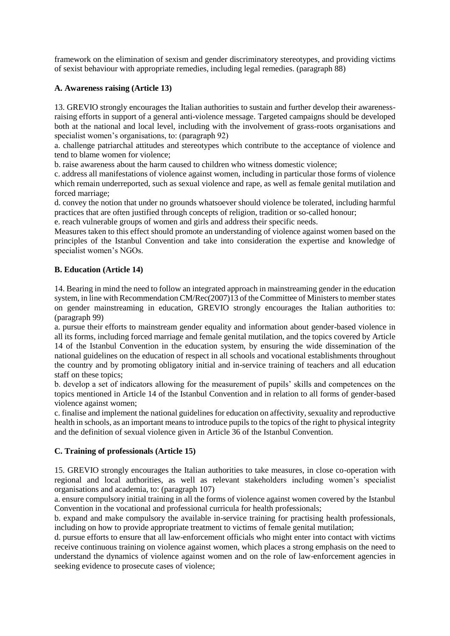framework on the elimination of sexism and gender discriminatory stereotypes, and providing victims of sexist behaviour with appropriate remedies, including legal remedies. (paragraph 88)

#### **A. Awareness raising (Article 13)**

13. GREVIO strongly encourages the Italian authorities to sustain and further develop their awarenessraising efforts in support of a general anti-violence message. Targeted campaigns should be developed both at the national and local level, including with the involvement of grass-roots organisations and specialist women's organisations, to: (paragraph 92)

a. challenge patriarchal attitudes and stereotypes which contribute to the acceptance of violence and tend to blame women for violence;

b. raise awareness about the harm caused to children who witness domestic violence;

c. address all manifestations of violence against women, including in particular those forms of violence which remain underreported, such as sexual violence and rape, as well as female genital mutilation and forced marriage;

d. convey the notion that under no grounds whatsoever should violence be tolerated, including harmful practices that are often justified through concepts of religion, tradition or so-called honour;

e. reach vulnerable groups of women and girls and address their specific needs.

Measures taken to this effect should promote an understanding of violence against women based on the principles of the Istanbul Convention and take into consideration the expertise and knowledge of specialist women's NGOs.

# **B. Education (Article 14)**

14. Bearing in mind the need to follow an integrated approach in mainstreaming gender in the education system, in line with Recommendation CM/Rec(2007)13 of the Committee of Ministers to member states on gender mainstreaming in education, GREVIO strongly encourages the Italian authorities to: (paragraph 99)

a. pursue their efforts to mainstream gender equality and information about gender-based violence in all its forms, including forced marriage and female genital mutilation, and the topics covered by Article 14 of the Istanbul Convention in the education system, by ensuring the wide dissemination of the national guidelines on the education of respect in all schools and vocational establishments throughout the country and by promoting obligatory initial and in-service training of teachers and all education staff on these topics;

b. develop a set of indicators allowing for the measurement of pupils' skills and competences on the topics mentioned in Article 14 of the Istanbul Convention and in relation to all forms of gender-based violence against women;

c. finalise and implement the national guidelines for education on affectivity, sexuality and reproductive health in schools, as an important means to introduce pupils to the topics of the right to physical integrity and the definition of sexual violence given in Article 36 of the Istanbul Convention.

# **C. Training of professionals (Article 15)**

15. GREVIO strongly encourages the Italian authorities to take measures, in close co-operation with regional and local authorities, as well as relevant stakeholders including women's specialist organisations and academia, to: (paragraph 107)

a. ensure compulsory initial training in all the forms of violence against women covered by the Istanbul Convention in the vocational and professional curricula for health professionals;

b. expand and make compulsory the available in-service training for practising health professionals, including on how to provide appropriate treatment to victims of female genital mutilation;

d. pursue efforts to ensure that all law-enforcement officials who might enter into contact with victims receive continuous training on violence against women, which places a strong emphasis on the need to understand the dynamics of violence against women and on the role of law-enforcement agencies in seeking evidence to prosecute cases of violence;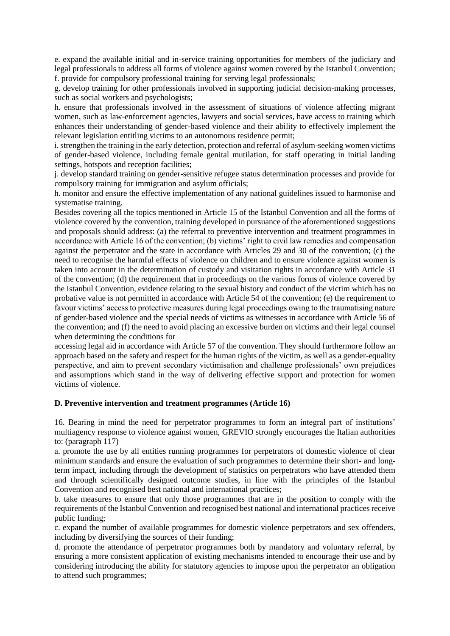e. expand the available initial and in-service training opportunities for members of the judiciary and legal professionals to address all forms of violence against women covered by the Istanbul Convention; f. provide for compulsory professional training for serving legal professionals;

g. develop training for other professionals involved in supporting judicial decision-making processes, such as social workers and psychologists;

h. ensure that professionals involved in the assessment of situations of violence affecting migrant women, such as law-enforcement agencies, lawyers and social services, have access to training which enhances their understanding of gender-based violence and their ability to effectively implement the relevant legislation entitling victims to an autonomous residence permit;

i. strengthen the training in the early detection, protection and referral of asylum-seeking women victims of gender-based violence, including female genital mutilation, for staff operating in initial landing settings, hotspots and reception facilities;

j. develop standard training on gender-sensitive refugee status determination processes and provide for compulsory training for immigration and asylum officials;

h. monitor and ensure the effective implementation of any national guidelines issued to harmonise and systematise training.

Besides covering all the topics mentioned in Article 15 of the Istanbul Convention and all the forms of violence covered by the convention, training developed in pursuance of the aforementioned suggestions and proposals should address: (a) the referral to preventive intervention and treatment programmes in accordance with Article 16 of the convention; (b) victims' right to civil law remedies and compensation against the perpetrator and the state in accordance with Articles 29 and 30 of the convention; (c) the need to recognise the harmful effects of violence on children and to ensure violence against women is taken into account in the determination of custody and visitation rights in accordance with Article 31 of the convention; (d) the requirement that in proceedings on the various forms of violence covered by the Istanbul Convention, evidence relating to the sexual history and conduct of the victim which has no probative value is not permitted in accordance with Article 54 of the convention; (e) the requirement to favour victims' access to protective measures during legal proceedings owing to the traumatising nature of gender-based violence and the special needs of victims as witnesses in accordance with Article 56 of the convention; and (f) the need to avoid placing an excessive burden on victims and their legal counsel when determining the conditions for

accessing legal aid in accordance with Article 57 of the convention. They should furthermore follow an approach based on the safety and respect for the human rights of the victim, as well as a gender-equality perspective, and aim to prevent secondary victimisation and challenge professionals' own prejudices and assumptions which stand in the way of delivering effective support and protection for women victims of violence.

#### **D. Preventive intervention and treatment programmes (Article 16)**

16. Bearing in mind the need for perpetrator programmes to form an integral part of institutions' multiagency response to violence against women, GREVIO strongly encourages the Italian authorities to: (paragraph 117)

a. promote the use by all entities running programmes for perpetrators of domestic violence of clear minimum standards and ensure the evaluation of such programmes to determine their short- and longterm impact, including through the development of statistics on perpetrators who have attended them and through scientifically designed outcome studies, in line with the principles of the Istanbul Convention and recognised best national and international practices;

b. take measures to ensure that only those programmes that are in the position to comply with the requirements of the Istanbul Convention and recognised best national and international practices receive public funding;

c. expand the number of available programmes for domestic violence perpetrators and sex offenders, including by diversifying the sources of their funding;

d. promote the attendance of perpetrator programmes both by mandatory and voluntary referral, by ensuring a more consistent application of existing mechanisms intended to encourage their use and by considering introducing the ability for statutory agencies to impose upon the perpetrator an obligation to attend such programmes;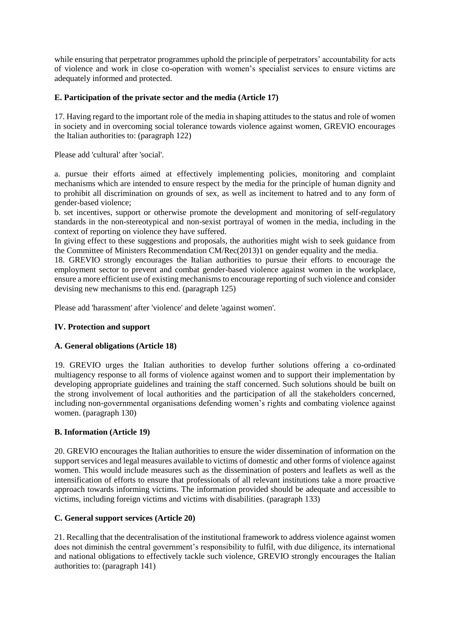while ensuring that perpetrator programmes uphold the principle of perpetrators' accountability for acts of violence and work in close co-operation with women's specialist services to ensure victims are adequately informed and protected.

# **E. Participation of the private sector and the media (Article 17)**

17. Having regard to the important role of the media in shaping attitudes to the status and role of women in society and in overcoming social tolerance towards violence against women, GREVIO encourages the Italian authorities to: (paragraph 122)

Please add 'cultural' after 'social'.

a. pursue their efforts aimed at effectively implementing policies, monitoring and complaint mechanisms which are intended to ensure respect by the media for the principle of human dignity and to prohibit all discrimination on grounds of sex, as well as incitement to hatred and to any form of gender-based violence;

b. set incentives, support or otherwise promote the development and monitoring of self-regulatory standards in the non-stereotypical and non-sexist portrayal of women in the media, including in the context of reporting on violence they have suffered.

In giving effect to these suggestions and proposals, the authorities might wish to seek guidance from the Committee of Ministers Recommendation CM/Rec(2013)1 on gender equality and the media.

18. GREVIO strongly encourages the Italian authorities to pursue their efforts to encourage the employment sector to prevent and combat gender-based violence against women in the workplace, ensure a more efficient use of existing mechanisms to encourage reporting of such violence and consider devising new mechanisms to this end. (paragraph 125)

Please add 'harassment' after 'violence' and delete 'against women'.

# **IV. Protection and support**

#### **A. General obligations (Article 18)**

19. GREVIO urges the Italian authorities to develop further solutions offering a co-ordinated multiagency response to all forms of violence against women and to support their implementation by developing appropriate guidelines and training the staff concerned. Such solutions should be built on the strong involvement of local authorities and the participation of all the stakeholders concerned, including non-governmental organisations defending women's rights and combating violence against women. (paragraph 130)

#### **B. Information (Article 19)**

20. GREVIO encourages the Italian authorities to ensure the wider dissemination of information on the support services and legal measures available to victims of domestic and other forms of violence against women. This would include measures such as the dissemination of posters and leaflets as well as the intensification of efforts to ensure that professionals of all relevant institutions take a more proactive approach towards informing victims. The information provided should be adequate and accessible to victims, including foreign victims and victims with disabilities. (paragraph 133)

# **C. General support services (Article 20)**

21. Recalling that the decentralisation of the institutional framework to address violence against women does not diminish the central government's responsibility to fulfil, with due diligence, its international and national obligations to effectively tackle such violence, GREVIO strongly encourages the Italian authorities to: (paragraph 141)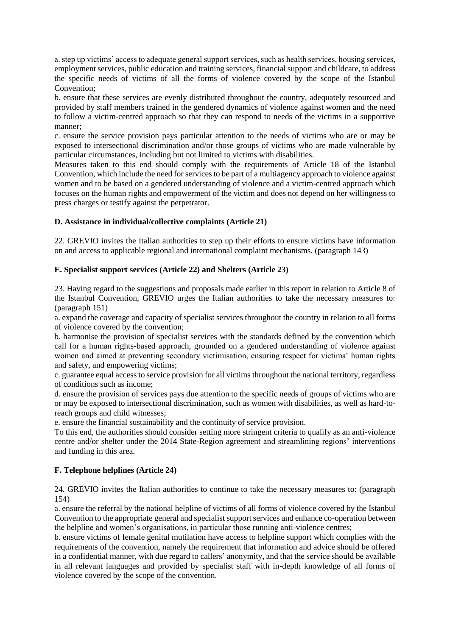a. step up victims' access to adequate general support services, such as health services, housing services, employment services, public education and training services, financial support and childcare, to address the specific needs of victims of all the forms of violence covered by the scope of the Istanbul Convention;

b. ensure that these services are evenly distributed throughout the country, adequately resourced and provided by staff members trained in the gendered dynamics of violence against women and the need to follow a victim-centred approach so that they can respond to needs of the victims in a supportive manner;

c. ensure the service provision pays particular attention to the needs of victims who are or may be exposed to intersectional discrimination and/or those groups of victims who are made vulnerable by particular circumstances, including but not limited to victims with disabilities.

Measures taken to this end should comply with the requirements of Article 18 of the Istanbul Convention, which include the need for services to be part of a multiagency approach to violence against women and to be based on a gendered understanding of violence and a victim-centred approach which focuses on the human rights and empowerment of the victim and does not depend on her willingness to press charges or testify against the perpetrator.

# **D. Assistance in individual/collective complaints (Article 21)**

22. GREVIO invites the Italian authorities to step up their efforts to ensure victims have information on and access to applicable regional and international complaint mechanisms. (paragraph 143)

# **E. Specialist support services (Article 22) and Shelters (Article 23)**

23. Having regard to the suggestions and proposals made earlier in this report in relation to Article 8 of the Istanbul Convention, GREVIO urges the Italian authorities to take the necessary measures to: (paragraph 151)

a. expand the coverage and capacity of specialist services throughout the country in relation to all forms of violence covered by the convention;

b. harmonise the provision of specialist services with the standards defined by the convention which call for a human rights-based approach, grounded on a gendered understanding of violence against women and aimed at preventing secondary victimisation, ensuring respect for victims' human rights and safety, and empowering victims;

c. guarantee equal access to service provision for all victims throughout the national territory, regardless of conditions such as income;

d. ensure the provision of services pays due attention to the specific needs of groups of victims who are or may be exposed to intersectional discrimination, such as women with disabilities, as well as hard-toreach groups and child witnesses;

e. ensure the financial sustainability and the continuity of service provision.

To this end, the authorities should consider setting more stringent criteria to qualify as an anti-violence centre and/or shelter under the 2014 State-Region agreement and streamlining regions' interventions and funding in this area.

# **F. Telephone helplines (Article 24)**

24. GREVIO invites the Italian authorities to continue to take the necessary measures to: (paragraph 154)

a. ensure the referral by the national helpline of victims of all forms of violence covered by the Istanbul Convention to the appropriate general and specialist support services and enhance co-operation between the helpline and women's organisations, in particular those running anti-violence centres;

b. ensure victims of female genital mutilation have access to helpline support which complies with the requirements of the convention, namely the requirement that information and advice should be offered in a confidential manner, with due regard to callers' anonymity, and that the service should be available in all relevant languages and provided by specialist staff with in-depth knowledge of all forms of violence covered by the scope of the convention.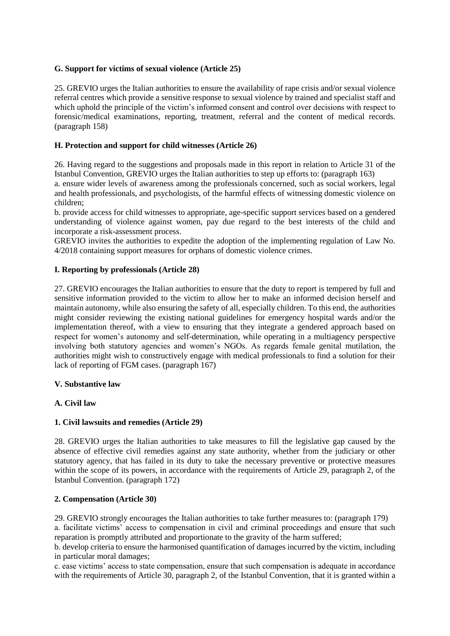# **G. Support for victims of sexual violence (Article 25)**

25. GREVIO urges the Italian authorities to ensure the availability of rape crisis and/or sexual violence referral centres which provide a sensitive response to sexual violence by trained and specialist staff and which uphold the principle of the victim's informed consent and control over decisions with respect to forensic/medical examinations, reporting, treatment, referral and the content of medical records. (paragraph 158)

# **H. Protection and support for child witnesses (Article 26)**

26. Having regard to the suggestions and proposals made in this report in relation to Article 31 of the Istanbul Convention, GREVIO urges the Italian authorities to step up efforts to: (paragraph 163)

a. ensure wider levels of awareness among the professionals concerned, such as social workers, legal and health professionals, and psychologists, of the harmful effects of witnessing domestic violence on children;

b. provide access for child witnesses to appropriate, age-specific support services based on a gendered understanding of violence against women, pay due regard to the best interests of the child and incorporate a risk-assessment process.

GREVIO invites the authorities to expedite the adoption of the implementing regulation of Law No. 4/2018 containing support measures for orphans of domestic violence crimes.

# **I. Reporting by professionals (Article 28)**

27. GREVIO encourages the Italian authorities to ensure that the duty to report is tempered by full and sensitive information provided to the victim to allow her to make an informed decision herself and maintain autonomy, while also ensuring the safety of all, especially children. To this end, the authorities might consider reviewing the existing national guidelines for emergency hospital wards and/or the implementation thereof, with a view to ensuring that they integrate a gendered approach based on respect for women's autonomy and self-determination, while operating in a multiagency perspective involving both statutory agencies and women's NGOs. As regards female genital mutilation, the authorities might wish to constructively engage with medical professionals to find a solution for their lack of reporting of FGM cases. (paragraph 167)

#### **V. Substantive law**

# **A. Civil law**

#### **1. Civil lawsuits and remedies (Article 29)**

28. GREVIO urges the Italian authorities to take measures to fill the legislative gap caused by the absence of effective civil remedies against any state authority, whether from the judiciary or other statutory agency, that has failed in its duty to take the necessary preventive or protective measures within the scope of its powers, in accordance with the requirements of Article 29, paragraph 2, of the Istanbul Convention. (paragraph 172)

#### **2. Compensation (Article 30)**

29. GREVIO strongly encourages the Italian authorities to take further measures to: (paragraph 179) a. facilitate victims' access to compensation in civil and criminal proceedings and ensure that such reparation is promptly attributed and proportionate to the gravity of the harm suffered;

b. develop criteria to ensure the harmonised quantification of damages incurred by the victim, including in particular moral damages;

c. ease victims' access to state compensation, ensure that such compensation is adequate in accordance with the requirements of Article 30, paragraph 2, of the Istanbul Convention, that it is granted within a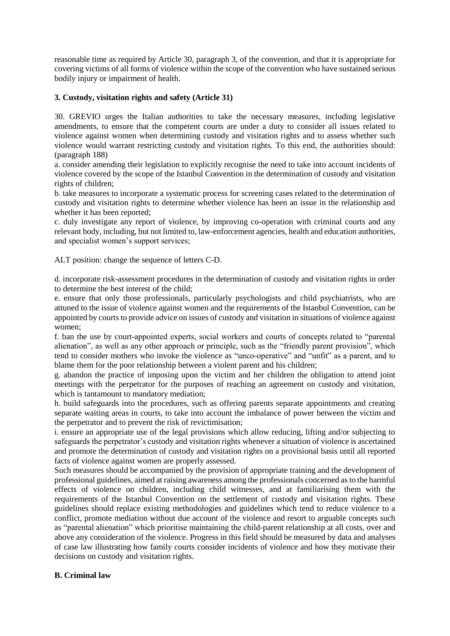reasonable time as required by Article 30, paragraph 3, of the convention, and that it is appropriate for covering victims of all forms of violence within the scope of the convention who have sustained serious bodily injury or impairment of health.

# **3. Custody, visitation rights and safety (Article 31)**

30. GREVIO urges the Italian authorities to take the necessary measures, including legislative amendments, to ensure that the competent courts are under a duty to consider all issues related to violence against women when determining custody and visitation rights and to assess whether such violence would warrant restricting custody and visitation rights. To this end, the authorities should: (paragraph 188)

a. consider amending their legislation to explicitly recognise the need to take into account incidents of violence covered by the scope of the Istanbul Convention in the determination of custody and visitation rights of children;

b. take measures to incorporate a systematic process for screening cases related to the determination of custody and visitation rights to determine whether violence has been an issue in the relationship and whether it has been reported;

c. duly investigate any report of violence, by improving co-operation with criminal courts and any relevant body, including, but not limited to, law-enforcement agencies, health and education authorities, and specialist women's support services;

ALT position: change the sequence of letters C-D.

d. incorporate risk-assessment procedures in the determination of custody and visitation rights in order to determine the best interest of the child;

e. ensure that only those professionals, particularly psychologists and child psychiatrists, who are attuned to the issue of violence against women and the requirements of the Istanbul Convention, can be appointed by courts to provide advice on issues of custody and visitation in situations of violence against women;

f. ban the use by court-appointed experts, social workers and courts of concepts related to "parental alienation", as well as any other approach or principle, such as the "friendly parent provision", which tend to consider mothers who invoke the violence as "unco-operative" and "unfit" as a parent, and to blame them for the poor relationship between a violent parent and his children;

g. abandon the practice of imposing upon the victim and her children the obligation to attend joint meetings with the perpetrator for the purposes of reaching an agreement on custody and visitation, which is tantamount to mandatory mediation;

h. build safeguards into the procedures, such as offering parents separate appointments and creating separate waiting areas in courts, to take into account the imbalance of power between the victim and the perpetrator and to prevent the risk of revictimisation;

i. ensure an appropriate use of the legal provisions which allow reducing, lifting and/or subjecting to safeguards the perpetrator's custody and visitation rights whenever a situation of violence is ascertained and promote the determination of custody and visitation rights on a provisional basis until all reported facts of violence against women are properly assessed.

Such measures should be accompanied by the provision of appropriate training and the development of professional guidelines, aimed at raising awareness among the professionals concerned as to the harmful effects of violence on children, including child witnesses, and at familiarising them with the requirements of the Istanbul Convention on the settlement of custody and visitation rights. These guidelines should replace existing methodologies and guidelines which tend to reduce violence to a conflict, promote mediation without due account of the violence and resort to arguable concepts such as "parental alienation" which prioritise maintaining the child-parent relationship at all costs, over and above any consideration of the violence. Progress in this field should be measured by data and analyses of case law illustrating how family courts consider incidents of violence and how they motivate their decisions on custody and visitation rights.

# **B. Criminal law**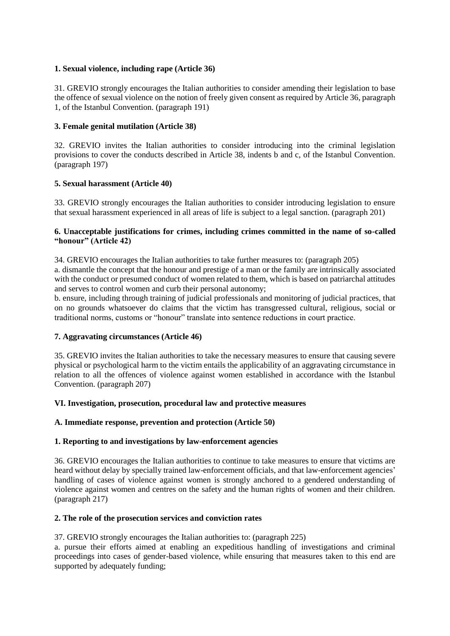# **1. Sexual violence, including rape (Article 36)**

31. GREVIO strongly encourages the Italian authorities to consider amending their legislation to base the offence of sexual violence on the notion of freely given consent as required by Article 36, paragraph 1, of the Istanbul Convention. (paragraph 191)

# **3. Female genital mutilation (Article 38)**

32. GREVIO invites the Italian authorities to consider introducing into the criminal legislation provisions to cover the conducts described in Article 38, indents b and c, of the Istanbul Convention. (paragraph 197)

# **5. Sexual harassment (Article 40)**

33. GREVIO strongly encourages the Italian authorities to consider introducing legislation to ensure that sexual harassment experienced in all areas of life is subject to a legal sanction. (paragraph 201)

# **6. Unacceptable justifications for crimes, including crimes committed in the name of so-called "honour" (Article 42)**

34. GREVIO encourages the Italian authorities to take further measures to: (paragraph 205) a. dismantle the concept that the honour and prestige of a man or the family are intrinsically associated with the conduct or presumed conduct of women related to them, which is based on patriarchal attitudes and serves to control women and curb their personal autonomy;

b. ensure, including through training of judicial professionals and monitoring of judicial practices, that on no grounds whatsoever do claims that the victim has transgressed cultural, religious, social or traditional norms, customs or "honour" translate into sentence reductions in court practice.

# **7. Aggravating circumstances (Article 46)**

35. GREVIO invites the Italian authorities to take the necessary measures to ensure that causing severe physical or psychological harm to the victim entails the applicability of an aggravating circumstance in relation to all the offences of violence against women established in accordance with the Istanbul Convention. (paragraph 207)

#### **VI. Investigation, prosecution, procedural law and protective measures**

#### **A. Immediate response, prevention and protection (Article 50)**

# **1. Reporting to and investigations by law-enforcement agencies**

36. GREVIO encourages the Italian authorities to continue to take measures to ensure that victims are heard without delay by specially trained law-enforcement officials, and that law-enforcement agencies' handling of cases of violence against women is strongly anchored to a gendered understanding of violence against women and centres on the safety and the human rights of women and their children. (paragraph 217)

#### **2. The role of the prosecution services and conviction rates**

#### 37. GREVIO strongly encourages the Italian authorities to: (paragraph 225)

a. pursue their efforts aimed at enabling an expeditious handling of investigations and criminal proceedings into cases of gender-based violence, while ensuring that measures taken to this end are supported by adequately funding;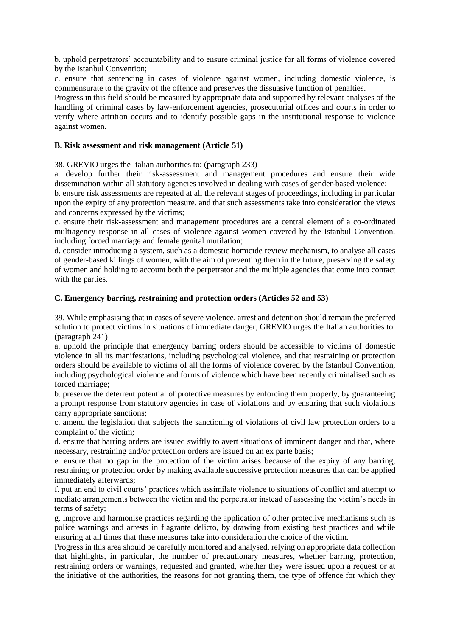b. uphold perpetrators' accountability and to ensure criminal justice for all forms of violence covered by the Istanbul Convention;

c. ensure that sentencing in cases of violence against women, including domestic violence, is commensurate to the gravity of the offence and preserves the dissuasive function of penalties.

Progress in this field should be measured by appropriate data and supported by relevant analyses of the handling of criminal cases by law-enforcement agencies, prosecutorial offices and courts in order to verify where attrition occurs and to identify possible gaps in the institutional response to violence against women.

#### **B. Risk assessment and risk management (Article 51)**

38. GREVIO urges the Italian authorities to: (paragraph 233)

a. develop further their risk-assessment and management procedures and ensure their wide dissemination within all statutory agencies involved in dealing with cases of gender-based violence;

b. ensure risk assessments are repeated at all the relevant stages of proceedings, including in particular upon the expiry of any protection measure, and that such assessments take into consideration the views and concerns expressed by the victims;

c. ensure their risk-assessment and management procedures are a central element of a co-ordinated multiagency response in all cases of violence against women covered by the Istanbul Convention, including forced marriage and female genital mutilation;

d. consider introducing a system, such as a domestic homicide review mechanism, to analyse all cases of gender-based killings of women, with the aim of preventing them in the future, preserving the safety of women and holding to account both the perpetrator and the multiple agencies that come into contact with the parties.

#### **C. Emergency barring, restraining and protection orders (Articles 52 and 53)**

39. While emphasising that in cases of severe violence, arrest and detention should remain the preferred solution to protect victims in situations of immediate danger, GREVIO urges the Italian authorities to: (paragraph 241)

a. uphold the principle that emergency barring orders should be accessible to victims of domestic violence in all its manifestations, including psychological violence, and that restraining or protection orders should be available to victims of all the forms of violence covered by the Istanbul Convention, including psychological violence and forms of violence which have been recently criminalised such as forced marriage;

b. preserve the deterrent potential of protective measures by enforcing them properly, by guaranteeing a prompt response from statutory agencies in case of violations and by ensuring that such violations carry appropriate sanctions;

c. amend the legislation that subjects the sanctioning of violations of civil law protection orders to a complaint of the victim;

d. ensure that barring orders are issued swiftly to avert situations of imminent danger and that, where necessary, restraining and/or protection orders are issued on an ex parte basis;

e. ensure that no gap in the protection of the victim arises because of the expiry of any barring, restraining or protection order by making available successive protection measures that can be applied immediately afterwards;

f. put an end to civil courts' practices which assimilate violence to situations of conflict and attempt to mediate arrangements between the victim and the perpetrator instead of assessing the victim's needs in terms of safety;

g. improve and harmonise practices regarding the application of other protective mechanisms such as police warnings and arrests in flagrante delicto, by drawing from existing best practices and while ensuring at all times that these measures take into consideration the choice of the victim.

Progress in this area should be carefully monitored and analysed, relying on appropriate data collection that highlights, in particular, the number of precautionary measures, whether barring, protection, restraining orders or warnings, requested and granted, whether they were issued upon a request or at the initiative of the authorities, the reasons for not granting them, the type of offence for which they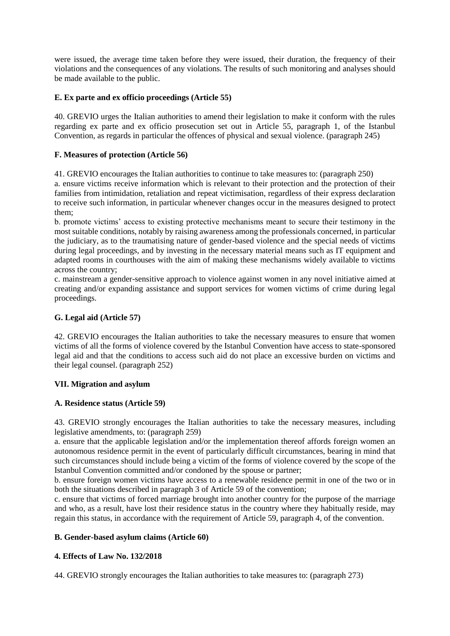were issued, the average time taken before they were issued, their duration, the frequency of their violations and the consequences of any violations. The results of such monitoring and analyses should be made available to the public.

# **E. Ex parte and ex officio proceedings (Article 55)**

40. GREVIO urges the Italian authorities to amend their legislation to make it conform with the rules regarding ex parte and ex officio prosecution set out in Article 55, paragraph 1, of the Istanbul Convention, as regards in particular the offences of physical and sexual violence. (paragraph 245)

# **F. Measures of protection (Article 56)**

41. GREVIO encourages the Italian authorities to continue to take measures to: (paragraph 250)

a. ensure victims receive information which is relevant to their protection and the protection of their families from intimidation, retaliation and repeat victimisation, regardless of their express declaration to receive such information, in particular whenever changes occur in the measures designed to protect them;

b. promote victims' access to existing protective mechanisms meant to secure their testimony in the most suitable conditions, notably by raising awareness among the professionals concerned, in particular the judiciary, as to the traumatising nature of gender-based violence and the special needs of victims during legal proceedings, and by investing in the necessary material means such as IT equipment and adapted rooms in courthouses with the aim of making these mechanisms widely available to victims across the country;

c. mainstream a gender-sensitive approach to violence against women in any novel initiative aimed at creating and/or expanding assistance and support services for women victims of crime during legal proceedings.

# **G. Legal aid (Article 57)**

42. GREVIO encourages the Italian authorities to take the necessary measures to ensure that women victims of all the forms of violence covered by the Istanbul Convention have access to state-sponsored legal aid and that the conditions to access such aid do not place an excessive burden on victims and their legal counsel. (paragraph 252)

#### **VII. Migration and asylum**

#### **A. Residence status (Article 59)**

43. GREVIO strongly encourages the Italian authorities to take the necessary measures, including legislative amendments, to: (paragraph 259)

a. ensure that the applicable legislation and/or the implementation thereof affords foreign women an autonomous residence permit in the event of particularly difficult circumstances, bearing in mind that such circumstances should include being a victim of the forms of violence covered by the scope of the Istanbul Convention committed and/or condoned by the spouse or partner;

b. ensure foreign women victims have access to a renewable residence permit in one of the two or in both the situations described in paragraph 3 of Article 59 of the convention;

c. ensure that victims of forced marriage brought into another country for the purpose of the marriage and who, as a result, have lost their residence status in the country where they habitually reside, may regain this status, in accordance with the requirement of Article 59, paragraph 4, of the convention.

#### **B. Gender-based asylum claims (Article 60)**

# **4. Effects of Law No. 132/2018**

44. GREVIO strongly encourages the Italian authorities to take measures to: (paragraph 273)